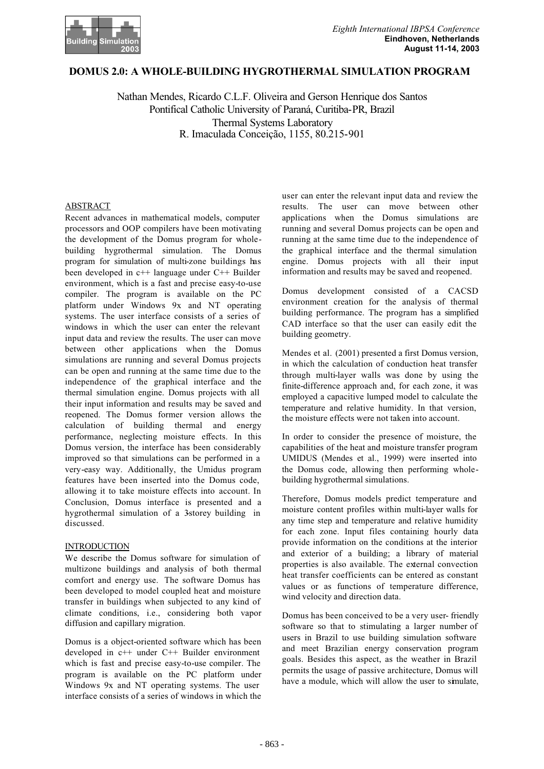

# **DOMUS 2.0: A WHOLE-BUILDING HYGROTHERMAL SIMULATION PROGRAM**

Nathan Mendes, Ricardo C.L.F. Oliveira and Gerson Henrique dos Santos Pontifical Catholic University of Paraná, Curitiba-PR, Brazil Thermal Systems Laboratory R. Imaculada Conceição, 1155, 80.215-901

### ABSTRACT

Recent advances in mathematical models, computer processors and OOP compilers have been motivating the development of the Domus program for wholebuilding hygrothermal simulation. The Domus program for simulation of multi-zone buildings has been developed in c++ language under C++ Builder environment, which is a fast and precise easy-to-use compiler. The program is available on the PC platform under Windows 9x and NT operating systems. The user interface consists of a series of windows in which the user can enter the relevant input data and review the results. The user can move between other applications when the Domus simulations are running and several Domus projects can be open and running at the same time due to the independence of the graphical interface and the thermal simulation engine. Domus projects with all their input information and results may be saved and reopened. The Domus former version allows the calculation of building thermal and energy performance, neglecting moisture effects. In this Domus version, the interface has been considerably improved so that simulations can be performed in a very-easy way. Additionally, the Umidus program features have been inserted into the Domus code, allowing it to take moisture effects into account. In Conclusion, Domus interface is presented and a hygrothermal simulation of a 3storey building in discussed.

### **INTRODUCTION**

We describe the Domus software for simulation of multizone buildings and analysis of both thermal comfort and energy use. The software Domus has been developed to model coupled heat and moisture transfer in buildings when subjected to any kind of climate conditions, i.e., considering both vapor diffusion and capillary migration.

Domus is a object-oriented software which has been developed in c++ under C++ Builder environment which is fast and precise easy-to-use compiler. The program is available on the PC platform under Windows 9x and NT operating systems. The user interface consists of a series of windows in which the

user can enter the relevant input data and review the results. The user can move between other applications when the Domus simulations are running and several Domus projects can be open and running at the same time due to the independence of the graphical interface and the thermal simulation engine. Domus projects with all their input information and results may be saved and reopened.

Domus development consisted of a CACSD environment creation for the analysis of thermal building performance. The program has a simplified CAD interface so that the user can easily edit the building geometry.

Mendes et al. (2001) presented a first Domus version, in which the calculation of conduction heat transfer through multi-layer walls was done by using the finite-difference approach and, for each zone, it was employed a capacitive lumped model to calculate the temperature and relative humidity. In that version, the moisture effects were not taken into account.

In order to consider the presence of moisture, the capabilities of the heat and moisture transfer program UMIDUS (Mendes et al., 1999) were inserted into the Domus code, allowing then performing wholebuilding hygrothermal simulations.

Therefore, Domus models predict temperature and moisture content profiles within multi-layer walls for any time step and temperature and relative humidity for each zone. Input files containing hourly data provide information on the conditions at the interior and exterior of a building; a library of material properties is also available. The external convection heat transfer coefficients can be entered as constant values or as functions of temperature difference, wind velocity and direction data.

Domus has been conceived to be a very user- friendly software so that to stimulating a larger number of users in Brazil to use building simulation software and meet Brazilian energy conservation program goals. Besides this aspect, as the weather in Brazil permits the usage of passive architecture, Domus will have a module, which will allow the user to simulate,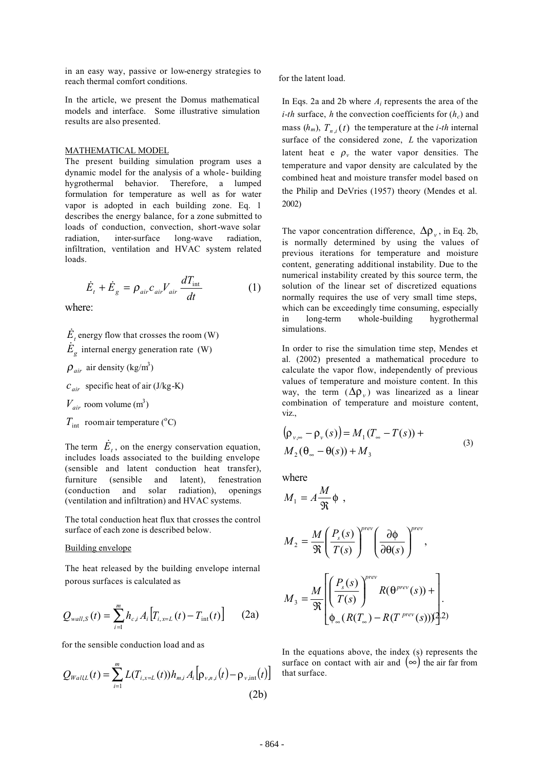in an easy way, passive or low-energy strategies to reach thermal comfort conditions.

In the article, we present the Domus mathematical models and interface. Some illustrative simulation results are also presented.

#### MATHEMATICAL MODEL

The present building simulation program uses a dynamic model for the analysis of a whole- building hygrothermal behavior. Therefore, a lumped formulation for temperature as well as for water vapor is adopted in each building zone. Eq. 1 describes the energy balance, for a zone submitted to loads of conduction, convection, short-wave solar radiation, inter-surface long-wave radiation, infiltration, ventilation and HVAC system related loads.

$$
\dot{E}_t + \dot{E}_g = \rho_{air} c_{air} V_{air} \frac{dT_{int}}{dt}
$$
 (1)

where:

 $\dot{E}_{t}$  energy flow that crosses the room (W)

 $\dot{E}_{g}$  internal energy generation rate (W)

- $\rho_{air}$  air density (kg/m<sup>3</sup>)
- $c_{air}$  specific heat of air (J/kg-K)
- $V_{air}$  room volume (m<sup>3</sup>)
- $T_{\text{int}}$  room air temperature (°C)

The term  $\dot{E}_t$ , on the energy conservation equation, includes loads associated to the building envelope (sensible and latent conduction heat transfer), furniture (sensible and latent), fenestration (conduction and solar radiation), openings (ventilation and infiltration) and HVAC systems.

The total conduction heat flux that crosses the control surface of each zone is described below.

#### Building envelope

The heat released by the building envelope internal porous surfaces is calculated as

$$
Q_{wall,S}(t) = \sum_{i=1}^{m} h_{c,i} A_i [T_{i,x=L}(t) - T_{int}(t)] \qquad (2a)
$$

for the sensible conduction load and as

$$
Q_{WallL}(t) = \sum_{i=1}^{m} L(T_{i,x=L}(t)) h_{m,i} A_i [\rho_{v,n,i}(t) - \rho_{v, \text{int}}(t)]
$$
\n(2b)

for the latent load.

In Eqs. 2a and 2b where *Ai* represents the area of the *i-th* surface, *h* the convection coefficients for  $(h_c)$  and mass  $(h_m)$ ,  $T_{n,i}(t)$  the temperature at the *i-th* internal surface of the considered zone, *L* the vaporization latent heat e  $\rho$ <sub>v</sub> the water vapor densities. The temperature and vapor density are calculated by the combined heat and moisture transfer model based on the Philip and DeVries (1957) theory (Mendes et al. 2002)

The vapor concentration difference,  $\Delta \rho_v$ , in Eq. 2b, is normally determined by using the values of previous iterations for temperature and moisture content, generating additional instability. Due to the numerical instability created by this source term, the solution of the linear set of discretized equations normally requires the use of very small time steps, which can be exceedingly time consuming, especially in long-term whole-building hygrothermal simulations.

In order to rise the simulation time step, Mendes et al. (2002) presented a mathematical procedure to calculate the vapor flow, independently of previous values of temperature and moisture content. In this way, the term  $(\Delta \rho_v)$  was linearized as a linear combination of temperature and moisture content, viz.,

$$
(\rho_{\nu,\infty} - \rho_{\nu}(s)) = M_1(T_{\infty} - T(s)) +
$$
  
\n
$$
M_2(\theta_{\infty} - \theta(s)) + M_3
$$
\n(3)

where

$$
M_1 = A \frac{M}{\Re} \Phi,
$$
  
\n
$$
M_2 = \frac{M}{\Re} \left( \frac{P_s(s)}{T(s)} \right)^{prev} \left( \frac{\partial \Phi}{\partial \Theta(s)} \right)^{prev},
$$
  
\n
$$
M_3 = \frac{M}{\Re} \left[ \left( \frac{P_s(s)}{T(s)} \right)^{prev} R(\Theta^{prev}(s)) + \right].
$$
  
\n
$$
\Phi_{\infty}(R(T_{\infty}) - R(T^{prev}(s)))^{2/2}
$$

In the equations above, the index (s) represents the surface on contact with air and  $(\infty)$  the air far from that surface.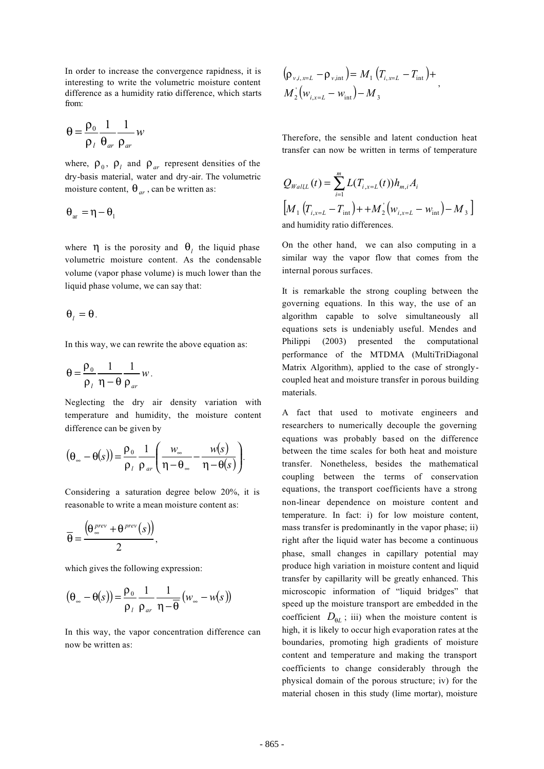In order to increase the convergence rapidness, it is interesting to write the volumetric moisture content difference as a humidity ratio difference, which starts from:

$$
\theta = \frac{\rho_0}{\rho_l} \frac{1}{\theta_{ar}} \frac{1}{\rho_{ar}} w
$$

where,  $\rho_0$ ,  $\rho_1$  and  $\rho_{ar}$  represent densities of the dry-basis material, water and dry-air. The volumetric moisture content,  $\theta_{ar}$ , can be written as:

$$
\theta_{ar} = \eta - \theta_1
$$

where  $\eta$  is the porosity and  $\theta_l$  the liquid phase volumetric moisture content. As the condensable volume (vapor phase volume) is much lower than the liquid phase volume, we can say that:

$$
\theta_{l}=\theta.
$$

In this way, we can rewrite the above equation as:

$$
\theta = \frac{\rho_0}{\rho_l} \frac{1}{\eta - \theta} \frac{1}{\rho_{ar}} w.
$$

Neglecting the dry air density variation with temperature and humidity, the moisture content difference can be given by

$$
(\theta_{\infty} - \theta(s)) = \frac{\rho_0}{\rho_l} \frac{1}{\rho_{ar}} \left( \frac{w_{\infty}}{\eta - \theta_{\infty}} - \frac{w(s)}{\eta - \theta(s)} \right).
$$

Considering a saturation degree below 20%, it is reasonable to write a mean moisture content as:

$$
\overline{\theta} = \frac{\left(\theta_{\infty}^{prev} + \theta^{prev}(s)\right)}{2},
$$

which gives the following expression:

$$
(\theta_{\infty} - \theta(s)) = \frac{\rho_0}{\rho_l} \frac{1}{\rho_{ar}} \frac{1}{\eta - \overline{\theta}} (w_{\infty} - w(s))
$$

In this way, the vapor concentration difference can now be written as:

$$
(\rho_{v,i,x=L} - \rho_{v,\text{int}}) = M_1 (T_{i,x=L} - T_{\text{int}}) +
$$
  

$$
M_2 (w_{i,x=L} - w_{\text{int}}) - M_3
$$

Therefore, the sensible and latent conduction heat transfer can now be written in terms of temperature

$$
Q_{WallL}(t) = \sum_{i=1}^{m} L(T_{i, x=L}(t)) h_{m,i} A_{i}
$$
  
\n
$$
[M_{1} (T_{i, x=L} - T_{int}) + + M_{2} (w_{i, x=L} - w_{int}) - M_{3}]
$$
  
\nand humidity ratio differences.

On the other hand, we can also computing in a similar way the vapor flow that comes from the internal porous surfaces.

It is remarkable the strong coupling between the governing equations. In this way, the use of an algorithm capable to solve simultaneously all equations sets is undeniably useful. Mendes and Philippi (2003) presented the computational performance of the MTDMA (MultiTriDiagonal Matrix Algorithm), applied to the case of stronglycoupled heat and moisture transfer in porous building materials.

A fact that used to motivate engineers and researchers to numerically decouple the governing equations was probably based on the difference between the time scales for both heat and moisture transfer. Nonetheless, besides the mathematical coupling between the terms of conservation equations, the transport coefficients have a strong non-linear dependence on moisture content and temperature. In fact: i) for low moisture content, mass transfer is predominantly in the vapor phase; ii) right after the liquid water has become a continuous phase, small changes in capillary potential may produce high variation in moisture content and liquid transfer by capillarity will be greatly enhanced. This microscopic information of "liquid bridges" that speed up the moisture transport are embedded in the coefficient  $D_{\theta}$ ; iii) when the moisture content is high, it is likely to occur high evaporation rates at the boundaries, promoting high gradients of moisture content and temperature and making the transport coefficients to change considerably through the physical domain of the porous structure; iv) for the material chosen in this study (lime mortar), moisture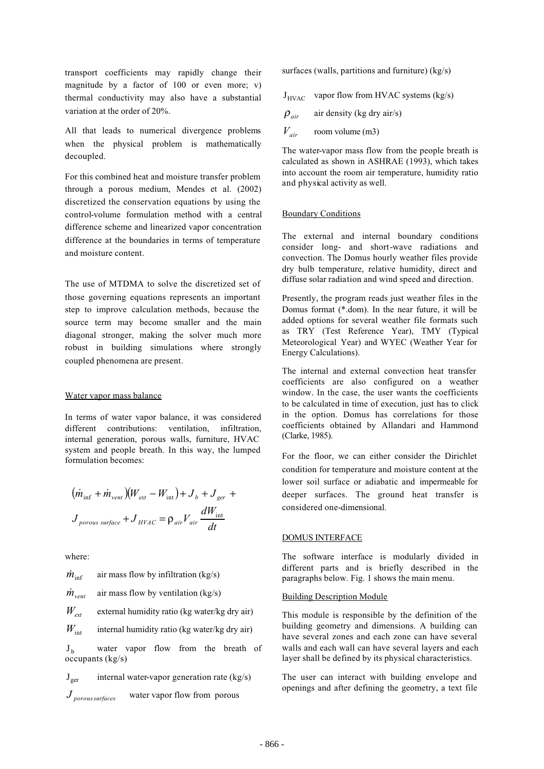transport coefficients may rapidly change their magnitude by a factor of 100 or even more; v) thermal conductivity may also have a substantial variation at the order of 20%.

All that leads to numerical divergence problems when the physical problem is mathematically decoupled.

For this combined heat and moisture transfer problem through a porous medium, Mendes et al. (2002) discretized the conservation equations by using the control-volume formulation method with a central difference scheme and linearized vapor concentration difference at the boundaries in terms of temperature and moisture content.

The use of MTDMA to solve the discretized set of those governing equations represents an important step to improve calculation methods, because the source term may become smaller and the main diagonal stronger, making the solver much more robust in building simulations where strongly coupled phenomena are present.

### Water vapor mass balance

In terms of water vapor balance, it was considered different contributions: ventilation, infiltration, internal generation, porous walls, furniture, HVAC system and people breath. In this way, the lumped formulation becomes:

$$
(\dot{m}_{\text{inf}} + \dot{m}_{\text{vent}})(W_{\text{ext}} - W_{\text{int}}) + J_b + J_{\text{ger}} +
$$
  

$$
J_{\text{porous surface}} + J_{\text{HYAC}} = \rho_{\text{air}} V_{\text{air}} \frac{dW_{\text{int}}}{dt}
$$

where:

 $\dot{m}_{\text{inf}}$  air mass flow by infiltration (kg/s)  $\dot{m}_{\text{vent}}$  air mass flow by ventilation (kg/s)  $W_{\text{ext}}$  external humidity ratio (kg water/kg dry air)  $W_{\text{int}}$  internal humidity ratio (kg water/kg dry air)  $J<sub>b</sub>$  water vapor flow from the breath of occupants (kg/s)

 $J_{\text{ger}}$  internal water-vapor generation rate (kg/s)

$$
J_{\text{porous surfaces}} \qquad \text{water vapor flow from porous}
$$

surfaces (walls, partitions and furniture) (kg/s)

 $J_{HVAC}$  vapor flow from HVAC systems (kg/s)

$$
\rho_{air} \quad \text{air density (kg dry air/s)}
$$
  

$$
V_{air} \quad \text{room volume (m3)}
$$

The water-vapor mass flow from the people breath is calculated as shown in ASHRAE (1993), which takes into account the room air temperature, humidity ratio and physical activity as well.

#### Boundary Conditions

The external and internal boundary conditions consider long- and short-wave radiations and convection. The Domus hourly weather files provide dry bulb temperature, relative humidity, direct and diffuse solar radiation and wind speed and direction.

Presently, the program reads just weather files in the Domus format (\*.dom). In the near future, it will be added options for several weather file formats such as TRY (Test Reference Year), TMY (Typical Meteorological Year) and WYEC (Weather Year for Energy Calculations).

The internal and external convection heat transfer coefficients are also configured on a weather window. In the case, the user wants the coefficients to be calculated in time of execution, just has to click in the option. Domus has correlations for those coefficients obtained by Allandari and Hammond (Clarke, 1985).

For the floor, we can either consider the Dirichlet condition for temperature and moisture content at the lower soil surface or adiabatic and impermeable for deeper surfaces. The ground heat transfer is considered one-dimensional.

### DOMUS INTERFACE

The software interface is modularly divided in different parts and is briefly described in the paragraphs below. Fig. 1 shows the main menu.

#### Building Description Module

This module is responsible by the definition of the building geometry and dimensions. A building can have several zones and each zone can have several walls and each wall can have several layers and each layer shall be defined by its physical characteristics.

The user can interact with building envelope and openings and after defining the geometry, a text file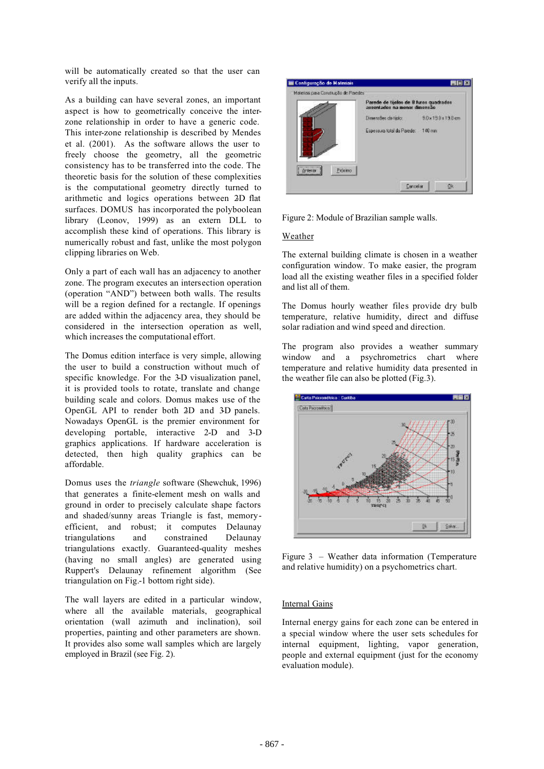will be automatically created so that the user can verify all the inputs.

As a building can have several zones, an important aspect is how to geometrically conceive the interzone relationship in order to have a generic code. This inter-zone relationship is described by Mendes et al. (2001). As the software allows the user to freely choose the geometry, all the geometric consistency has to be transferred into the code. The theoretic basis for the solution of these complexities is the computational geometry directly turned to arithmetic and logics operations between 2D flat surfaces. DOMUS has incorporated the polyboolean library (Leonov, 1999) as an extern DLL to accomplish these kind of operations. This library is numerically robust and fast, unlike the most polygon clipping libraries on Web.

Only a part of each wall has an adjacency to another zone. The program executes an intersection operation (operation "AND") between both walls. The results will be a region defined for a rectangle. If openings are added within the adjacency area, they should be considered in the intersection operation as well, which increases the computational effort.

The Domus edition interface is very simple, allowing the user to build a construction without much of specific knowledge. For the 3-D visualization panel, it is provided tools to rotate, translate and change building scale and colors. Domus makes use of the OpenGL API to render both 2D and 3D panels. Nowadays OpenGL is the premier environment for developing portable, interactive 2-D and 3-D graphics applications. If hardware acceleration is detected, then high quality graphics can be affordable.

Domus uses the *triangle* software (Shewchuk, 1996) that generates a finite-element mesh on walls and ground in order to precisely calculate shape factors and shaded/sunny areas Triangle is fast, memoryefficient, and robust; it computes Delaunay triangulations and constrained Delaunay triangulations exactly. Guaranteed-quality meshes (having no small angles) are generated using Ruppert's Delaunay refinement algorithm (See triangulation on Fig.-1 bottom right side).

The wall layers are edited in a particular window, where all the available materials, geographical orientation (wall azimuth and inclination), soil properties, painting and other parameters are shown. It provides also some wall samples which are largely employed in Brazil (see Fig. 2).



Figure 2: Module of Brazilian sample walls.

### Weather

The external building climate is chosen in a weather configuration window. To make easier, the program load all the existing weather files in a specified folder and list all of them.

The Domus hourly weather files provide dry bulb temperature, relative humidity, direct and diffuse solar radiation and wind speed and direction.

The program also provides a weather summary window and a psychrometrics chart where temperature and relative humidity data presented in the weather file can also be plotted (Fig.3).



Figure 3 – Weather data information (Temperature and relative humidity) on a psychometrics chart.

### Internal Gains

Internal energy gains for each zone can be entered in a special window where the user sets schedules for internal equipment, lighting, vapor generation, people and external equipment (just for the economy evaluation module).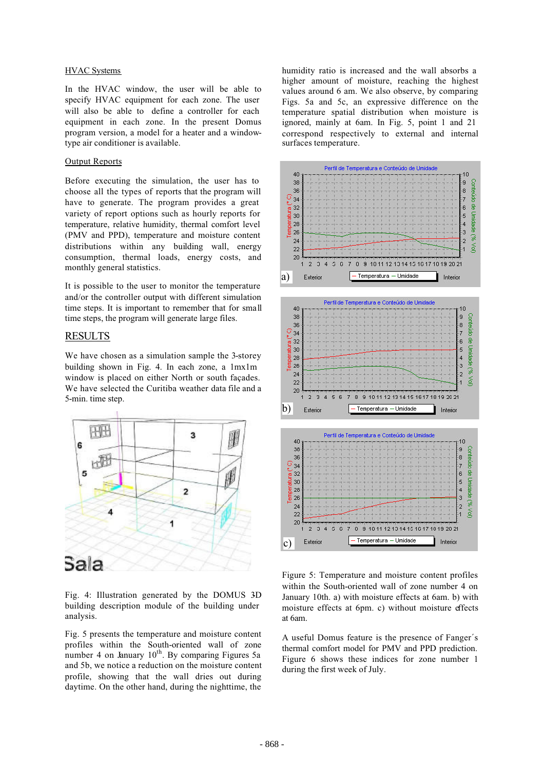### HVAC Systems

In the HVAC window, the user will be able to specify HVAC equipment for each zone. The user will also be able to define a controller for each equipment in each zone. In the present Domus program version, a model for a heater and a windowtype air conditioner is available.

#### Output Reports

Before executing the simulation, the user has to choose all the types of reports that the program will have to generate. The program provides a great variety of report options such as hourly reports for temperature, relative humidity, thermal comfort level (PMV and PPD), temperature and moisture content distributions within any building wall, energy consumption, thermal loads, energy costs, and monthly general statistics.

It is possible to the user to monitor the temperature and/or the controller output with different simulation time steps. It is important to remember that for small time steps, the program will generate large files.

## RESULTS

We have chosen as a simulation sample the 3-storey building shown in Fig. 4. In each zone, a 1mx1m window is placed on either North or south façades. We have selected the Curitiba weather data file and a 5-min. time step.



Fig. 4: Illustration generated by the DOMUS 3D building description module of the building under analysis.

Fig. 5 presents the temperature and moisture content profiles within the South-oriented wall of zone number 4 on January  $10^{th}$ . By comparing Figures 5a and 5b, we notice a reduction on the moisture content profile, showing that the wall dries out during daytime. On the other hand, during the nighttime, the

humidity ratio is increased and the wall absorbs a higher amount of moisture, reaching the highest values around 6 am. We also observe, by comparing Figs. 5a and 5c, an expressive difference on the temperature spatial distribution when moisture is ignored, mainly at 6am. In Fig. 5, point 1 and 21 correspond respectively to external and internal surfaces temperature.



Figure 5: Temperature and moisture content profiles within the South-oriented wall of zone number 4 on January 10th. a) with moisture effects at 6am. b) with moisture effects at 6pm. c) without moisture effects at 6am.

A useful Domus feature is the presence of Fanger´s thermal comfort model for PMV and PPD prediction. Figure 6 shows these indices for zone number 1 during the first week of July.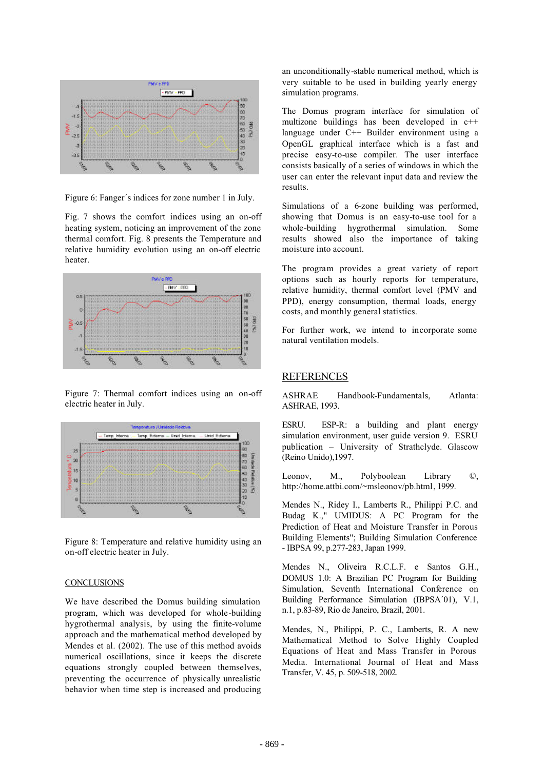

Figure 6: Fanger´s indices for zone number 1 in July.

Fig. 7 shows the comfort indices using an on-off heating system, noticing an improvement of the zone thermal comfort. Fig. 8 presents the Temperature and relative humidity evolution using an on-off electric heater.



Figure 7: Thermal comfort indices using an on-off electric heater in July.



Figure 8: Temperature and relative humidity using an on-off electric heater in July.

#### **CONCLUSIONS**

We have described the Domus building simulation program, which was developed for whole-building hygrothermal analysis, by using the finite-volume approach and the mathematical method developed by Mendes et al. (2002). The use of this method avoids numerical oscillations, since it keeps the discrete equations strongly coupled between themselves, preventing the occurrence of physically unrealistic behavior when time step is increased and producing an unconditionally-stable numerical method, which is very suitable to be used in building yearly energy simulation programs.

The Domus program interface for simulation of multizone buildings has been developed in c++ language under C++ Builder environment using a OpenGL graphical interface which is a fast and precise easy-to-use compiler. The user interface consists basically of a series of windows in which the user can enter the relevant input data and review the results.

Simulations of a 6-zone building was performed, showing that Domus is an easy-to-use tool for a whole-building hygrothermal simulation. Some results showed also the importance of taking moisture into account.

The program provides a great variety of report options such as hourly reports for temperature, relative humidity, thermal comfort level (PMV and PPD), energy consumption, thermal loads, energy costs, and monthly general statistics.

For further work, we intend to incorporate some natural ventilation models.

# REFERENCES

ASHRAE Handbook-Fundamentals, Atlanta: ASHRAE, 1993.

ESRU. ESP-R: a building and plant energy simulation environment, user guide version 9. ESRU publication – University of Strathclyde. Glascow (Reino Unido),1997.

Leonov, M., Polyboolean Library ©, http://home.attbi.com/~msleonov/pb.html, 1999.

Mendes N., Ridey I., Lamberts R., Philippi P.C. and Budag K.," UMIDUS: A PC Program for the Prediction of Heat and Moisture Transfer in Porous Building Elements"; Building Simulation Conference - IBPSA 99, p.277-283, Japan 1999.

Mendes N., Oliveira R.C.L.F. e Santos G.H., DOMUS 1.0: A Brazilian PC Program for Building Simulation, Seventh International Conference on Building Performance Simulation (IBPSA´01), V.1, n.1, p.83-89, Rio de Janeiro, Brazil, 2001.

Mendes, N., Philippi, P. C., Lamberts, R. A new Mathematical Method to Solve Highly Coupled Equations of Heat and Mass Transfer in Porous Media. International Journal of Heat and Mass Transfer, V. 45, p. 509-518, 2002.